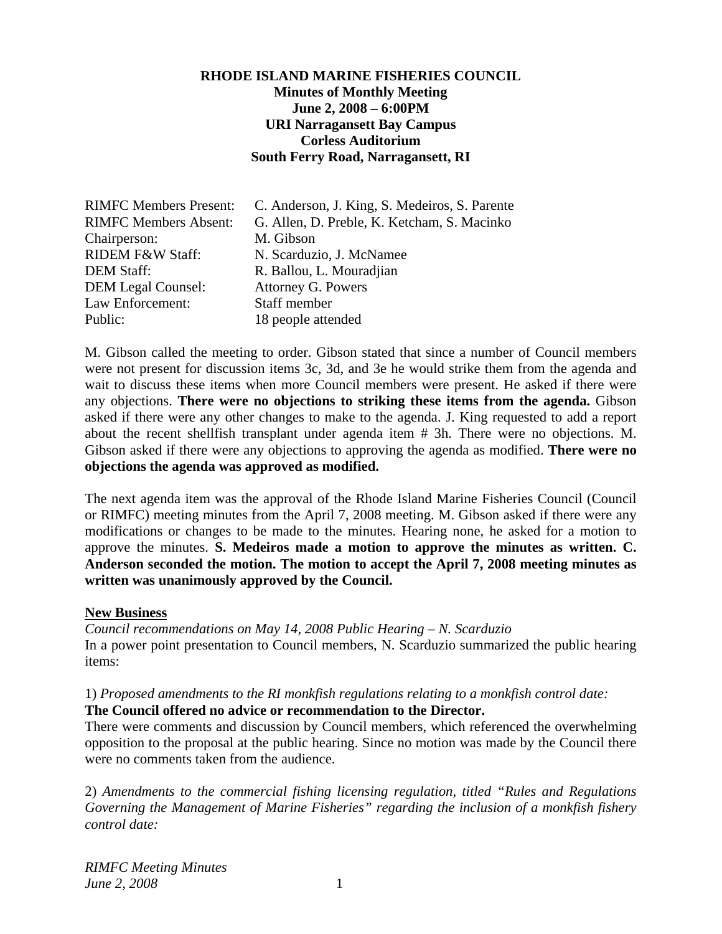### **RHODE ISLAND MARINE FISHERIES COUNCIL Minutes of Monthly Meeting June 2, 2008 – 6:00PM URI Narragansett Bay Campus Corless Auditorium South Ferry Road, Narragansett, RI**

| <b>RIMFC Members Present:</b> | C. Anderson, J. King, S. Medeiros, S. Parente |
|-------------------------------|-----------------------------------------------|
| <b>RIMFC Members Absent:</b>  | G. Allen, D. Preble, K. Ketcham, S. Macinko   |
| Chairperson:                  | M. Gibson                                     |
| RIDEM F&W Staff:              | N. Scarduzio, J. McNamee                      |
| <b>DEM Staff:</b>             | R. Ballou, L. Mouradjian                      |
| <b>DEM Legal Counsel:</b>     | Attorney G. Powers                            |
| Law Enforcement:              | Staff member                                  |
| Public:                       | 18 people attended                            |

M. Gibson called the meeting to order. Gibson stated that since a number of Council members were not present for discussion items 3c, 3d, and 3e he would strike them from the agenda and wait to discuss these items when more Council members were present. He asked if there were any objections. **There were no objections to striking these items from the agenda.** Gibson asked if there were any other changes to make to the agenda. J. King requested to add a report about the recent shellfish transplant under agenda item # 3h. There were no objections. M. Gibson asked if there were any objections to approving the agenda as modified. **There were no objections the agenda was approved as modified.** 

The next agenda item was the approval of the Rhode Island Marine Fisheries Council (Council or RIMFC) meeting minutes from the April 7, 2008 meeting. M. Gibson asked if there were any modifications or changes to be made to the minutes. Hearing none, he asked for a motion to approve the minutes. **S. Medeiros made a motion to approve the minutes as written. C. Anderson seconded the motion. The motion to accept the April 7, 2008 meeting minutes as written was unanimously approved by the Council.** 

#### **New Business**

*Council recommendations on May 14, 2008 Public Hearing – N. Scarduzio*  In a power point presentation to Council members, N. Scarduzio summarized the public hearing items:

# 1) *Proposed amendments to the RI monkfish regulations relating to a monkfish control date:*

**The Council offered no advice or recommendation to the Director.** 

There were comments and discussion by Council members, which referenced the overwhelming opposition to the proposal at the public hearing. Since no motion was made by the Council there were no comments taken from the audience.

2) *Amendments to the commercial fishing licensing regulation, titled "Rules and Regulations Governing the Management of Marine Fisheries" regarding the inclusion of a monkfish fishery control date:*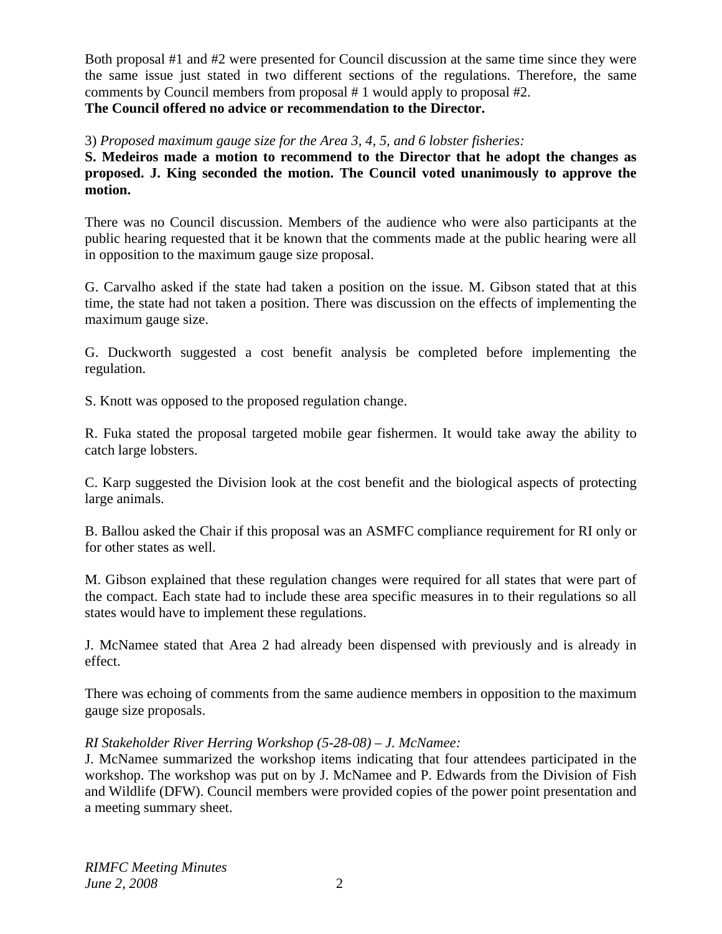Both proposal #1 and #2 were presented for Council discussion at the same time since they were the same issue just stated in two different sections of the regulations. Therefore, the same comments by Council members from proposal # 1 would apply to proposal #2. **The Council offered no advice or recommendation to the Director.** 

3) *Proposed maximum gauge size for the Area 3, 4, 5, and 6 lobster fisheries:* 

**S. Medeiros made a motion to recommend to the Director that he adopt the changes as proposed. J. King seconded the motion. The Council voted unanimously to approve the motion.** 

There was no Council discussion. Members of the audience who were also participants at the public hearing requested that it be known that the comments made at the public hearing were all in opposition to the maximum gauge size proposal.

G. Carvalho asked if the state had taken a position on the issue. M. Gibson stated that at this time, the state had not taken a position. There was discussion on the effects of implementing the maximum gauge size.

G. Duckworth suggested a cost benefit analysis be completed before implementing the regulation.

S. Knott was opposed to the proposed regulation change.

R. Fuka stated the proposal targeted mobile gear fishermen. It would take away the ability to catch large lobsters.

C. Karp suggested the Division look at the cost benefit and the biological aspects of protecting large animals.

B. Ballou asked the Chair if this proposal was an ASMFC compliance requirement for RI only or for other states as well.

M. Gibson explained that these regulation changes were required for all states that were part of the compact. Each state had to include these area specific measures in to their regulations so all states would have to implement these regulations.

J. McNamee stated that Area 2 had already been dispensed with previously and is already in effect.

There was echoing of comments from the same audience members in opposition to the maximum gauge size proposals.

# *RI Stakeholder River Herring Workshop (5-28-08) – J. McNamee:*

J. McNamee summarized the workshop items indicating that four attendees participated in the workshop. The workshop was put on by J. McNamee and P. Edwards from the Division of Fish and Wildlife (DFW). Council members were provided copies of the power point presentation and a meeting summary sheet.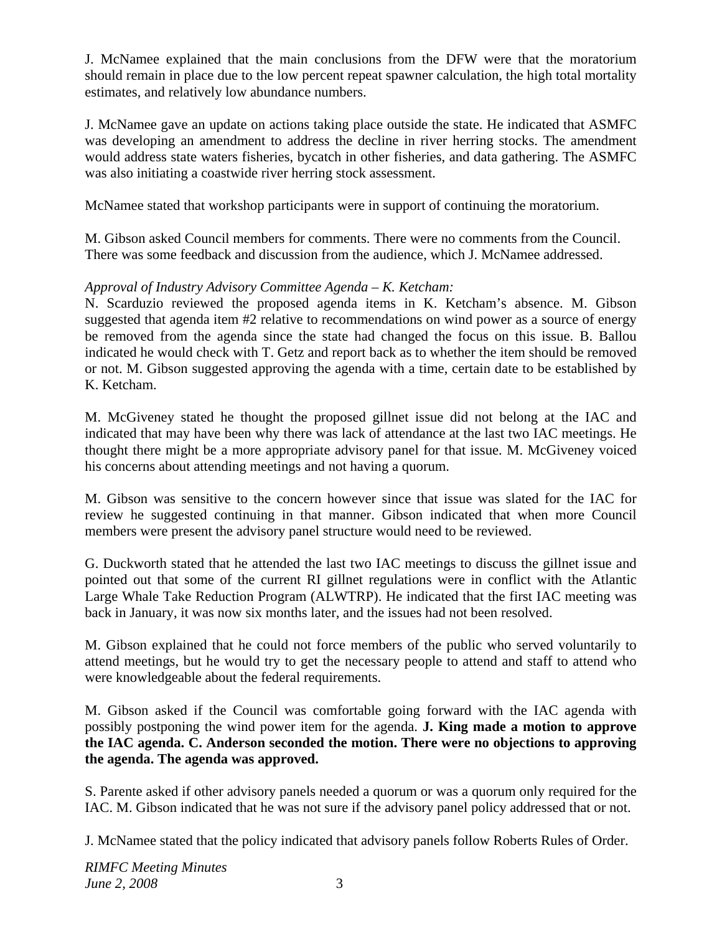J. McNamee explained that the main conclusions from the DFW were that the moratorium should remain in place due to the low percent repeat spawner calculation, the high total mortality estimates, and relatively low abundance numbers.

J. McNamee gave an update on actions taking place outside the state. He indicated that ASMFC was developing an amendment to address the decline in river herring stocks. The amendment would address state waters fisheries, bycatch in other fisheries, and data gathering. The ASMFC was also initiating a coastwide river herring stock assessment.

McNamee stated that workshop participants were in support of continuing the moratorium.

M. Gibson asked Council members for comments. There were no comments from the Council. There was some feedback and discussion from the audience, which J. McNamee addressed.

# *Approval of Industry Advisory Committee Agenda – K. Ketcham:*

N. Scarduzio reviewed the proposed agenda items in K. Ketcham's absence. M. Gibson suggested that agenda item #2 relative to recommendations on wind power as a source of energy be removed from the agenda since the state had changed the focus on this issue. B. Ballou indicated he would check with T. Getz and report back as to whether the item should be removed or not. M. Gibson suggested approving the agenda with a time, certain date to be established by K. Ketcham.

M. McGiveney stated he thought the proposed gillnet issue did not belong at the IAC and indicated that may have been why there was lack of attendance at the last two IAC meetings. He thought there might be a more appropriate advisory panel for that issue. M. McGiveney voiced his concerns about attending meetings and not having a quorum.

M. Gibson was sensitive to the concern however since that issue was slated for the IAC for review he suggested continuing in that manner. Gibson indicated that when more Council members were present the advisory panel structure would need to be reviewed.

G. Duckworth stated that he attended the last two IAC meetings to discuss the gillnet issue and pointed out that some of the current RI gillnet regulations were in conflict with the Atlantic Large Whale Take Reduction Program (ALWTRP). He indicated that the first IAC meeting was back in January, it was now six months later, and the issues had not been resolved.

M. Gibson explained that he could not force members of the public who served voluntarily to attend meetings, but he would try to get the necessary people to attend and staff to attend who were knowledgeable about the federal requirements.

M. Gibson asked if the Council was comfortable going forward with the IAC agenda with possibly postponing the wind power item for the agenda. **J. King made a motion to approve the IAC agenda. C. Anderson seconded the motion. There were no objections to approving the agenda. The agenda was approved.**

S. Parente asked if other advisory panels needed a quorum or was a quorum only required for the IAC. M. Gibson indicated that he was not sure if the advisory panel policy addressed that or not.

J. McNamee stated that the policy indicated that advisory panels follow Roberts Rules of Order.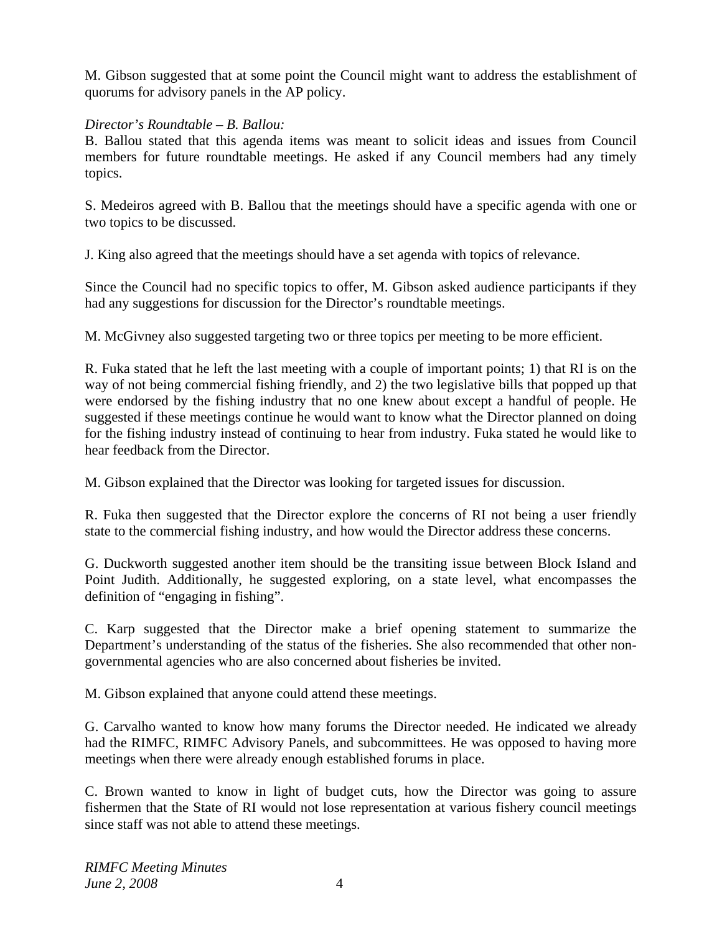M. Gibson suggested that at some point the Council might want to address the establishment of quorums for advisory panels in the AP policy.

### *Director's Roundtable – B. Ballou:*

B. Ballou stated that this agenda items was meant to solicit ideas and issues from Council members for future roundtable meetings. He asked if any Council members had any timely topics.

S. Medeiros agreed with B. Ballou that the meetings should have a specific agenda with one or two topics to be discussed.

J. King also agreed that the meetings should have a set agenda with topics of relevance.

Since the Council had no specific topics to offer, M. Gibson asked audience participants if they had any suggestions for discussion for the Director's roundtable meetings.

M. McGivney also suggested targeting two or three topics per meeting to be more efficient.

R. Fuka stated that he left the last meeting with a couple of important points; 1) that RI is on the way of not being commercial fishing friendly, and 2) the two legislative bills that popped up that were endorsed by the fishing industry that no one knew about except a handful of people. He suggested if these meetings continue he would want to know what the Director planned on doing for the fishing industry instead of continuing to hear from industry. Fuka stated he would like to hear feedback from the Director.

M. Gibson explained that the Director was looking for targeted issues for discussion.

R. Fuka then suggested that the Director explore the concerns of RI not being a user friendly state to the commercial fishing industry, and how would the Director address these concerns.

G. Duckworth suggested another item should be the transiting issue between Block Island and Point Judith. Additionally, he suggested exploring, on a state level, what encompasses the definition of "engaging in fishing".

C. Karp suggested that the Director make a brief opening statement to summarize the Department's understanding of the status of the fisheries. She also recommended that other nongovernmental agencies who are also concerned about fisheries be invited.

M. Gibson explained that anyone could attend these meetings.

G. Carvalho wanted to know how many forums the Director needed. He indicated we already had the RIMFC, RIMFC Advisory Panels, and subcommittees. He was opposed to having more meetings when there were already enough established forums in place.

C. Brown wanted to know in light of budget cuts, how the Director was going to assure fishermen that the State of RI would not lose representation at various fishery council meetings since staff was not able to attend these meetings.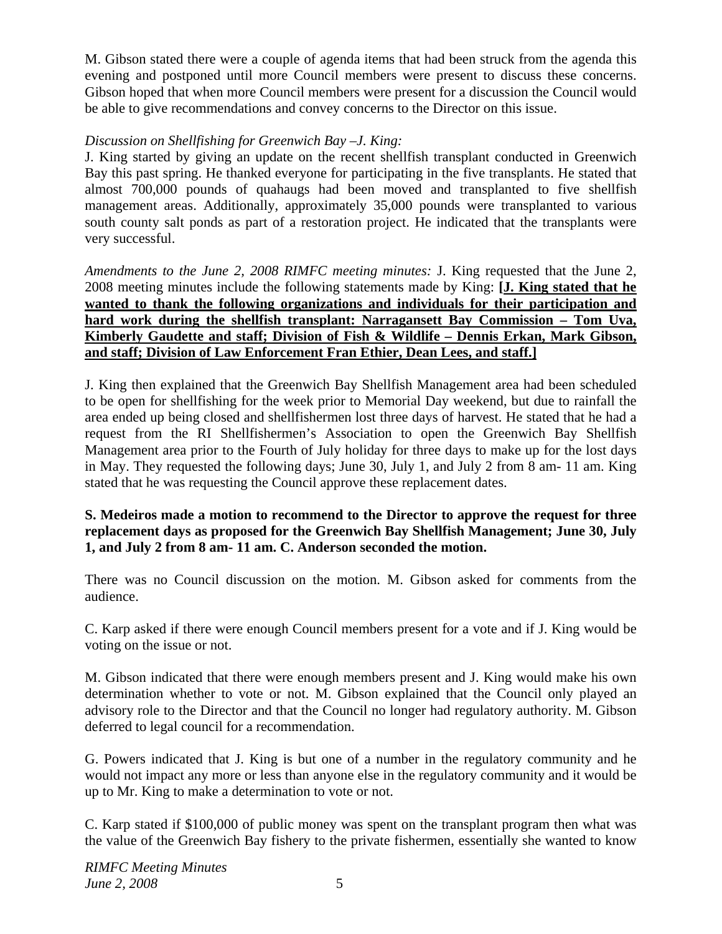M. Gibson stated there were a couple of agenda items that had been struck from the agenda this evening and postponed until more Council members were present to discuss these concerns. Gibson hoped that when more Council members were present for a discussion the Council would be able to give recommendations and convey concerns to the Director on this issue.

# *Discussion on Shellfishing for Greenwich Bay –J. King:*

J. King started by giving an update on the recent shellfish transplant conducted in Greenwich Bay this past spring. He thanked everyone for participating in the five transplants. He stated that almost 700,000 pounds of quahaugs had been moved and transplanted to five shellfish management areas. Additionally, approximately 35,000 pounds were transplanted to various south county salt ponds as part of a restoration project. He indicated that the transplants were very successful.

*Amendments to the June 2, 2008 RIMFC meeting minutes:* J. King requested that the June 2, 2008 meeting minutes include the following statements made by King: **[J. King stated that he wanted to thank the following organizations and individuals for their participation and hard work during the shellfish transplant: Narragansett Bay Commission – Tom Uva, Kimberly Gaudette and staff; Division of Fish & Wildlife – Dennis Erkan, Mark Gibson, and staff; Division of Law Enforcement Fran Ethier, Dean Lees, and staff.]**

J. King then explained that the Greenwich Bay Shellfish Management area had been scheduled to be open for shellfishing for the week prior to Memorial Day weekend, but due to rainfall the area ended up being closed and shellfishermen lost three days of harvest. He stated that he had a request from the RI Shellfishermen's Association to open the Greenwich Bay Shellfish Management area prior to the Fourth of July holiday for three days to make up for the lost days in May. They requested the following days; June 30, July 1, and July 2 from 8 am- 11 am. King stated that he was requesting the Council approve these replacement dates.

#### **S. Medeiros made a motion to recommend to the Director to approve the request for three replacement days as proposed for the Greenwich Bay Shellfish Management; June 30, July 1, and July 2 from 8 am- 11 am. C. Anderson seconded the motion.**

There was no Council discussion on the motion. M. Gibson asked for comments from the audience.

C. Karp asked if there were enough Council members present for a vote and if J. King would be voting on the issue or not.

M. Gibson indicated that there were enough members present and J. King would make his own determination whether to vote or not. M. Gibson explained that the Council only played an advisory role to the Director and that the Council no longer had regulatory authority. M. Gibson deferred to legal council for a recommendation.

G. Powers indicated that J. King is but one of a number in the regulatory community and he would not impact any more or less than anyone else in the regulatory community and it would be up to Mr. King to make a determination to vote or not.

C. Karp stated if \$100,000 of public money was spent on the transplant program then what was the value of the Greenwich Bay fishery to the private fishermen, essentially she wanted to know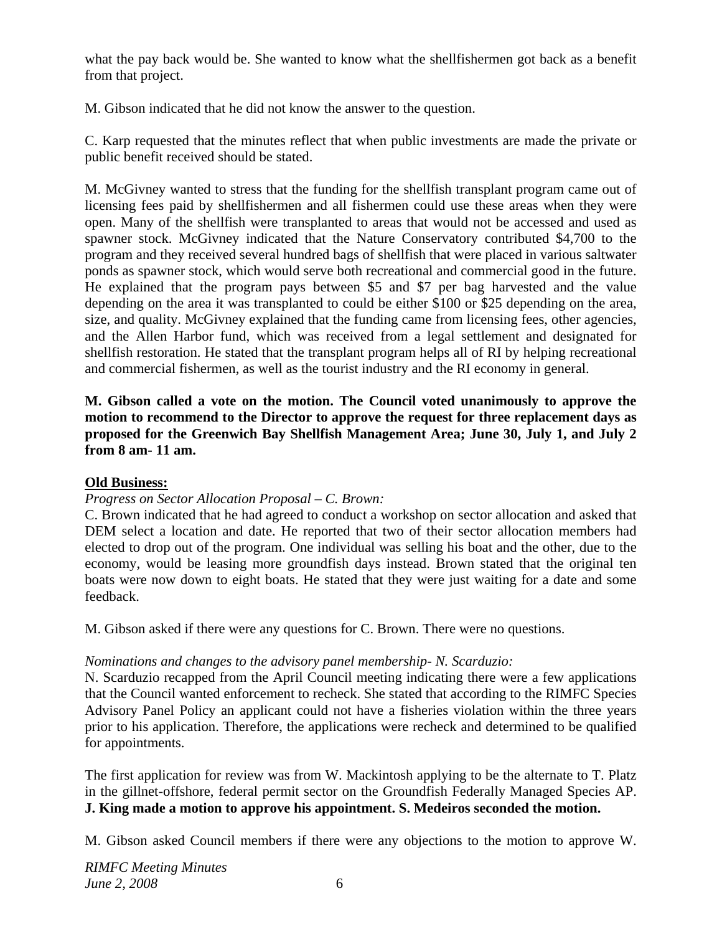what the pay back would be. She wanted to know what the shellfishermen got back as a benefit from that project.

M. Gibson indicated that he did not know the answer to the question.

C. Karp requested that the minutes reflect that when public investments are made the private or public benefit received should be stated.

M. McGivney wanted to stress that the funding for the shellfish transplant program came out of licensing fees paid by shellfishermen and all fishermen could use these areas when they were open. Many of the shellfish were transplanted to areas that would not be accessed and used as spawner stock. McGivney indicated that the Nature Conservatory contributed \$4,700 to the program and they received several hundred bags of shellfish that were placed in various saltwater ponds as spawner stock, which would serve both recreational and commercial good in the future. He explained that the program pays between \$5 and \$7 per bag harvested and the value depending on the area it was transplanted to could be either \$100 or \$25 depending on the area, size, and quality. McGivney explained that the funding came from licensing fees, other agencies, and the Allen Harbor fund, which was received from a legal settlement and designated for shellfish restoration. He stated that the transplant program helps all of RI by helping recreational and commercial fishermen, as well as the tourist industry and the RI economy in general.

**M. Gibson called a vote on the motion. The Council voted unanimously to approve the motion to recommend to the Director to approve the request for three replacement days as proposed for the Greenwich Bay Shellfish Management Area; June 30, July 1, and July 2 from 8 am- 11 am.** 

# **Old Business:**

# *Progress on Sector Allocation Proposal – C. Brown:*

C. Brown indicated that he had agreed to conduct a workshop on sector allocation and asked that DEM select a location and date. He reported that two of their sector allocation members had elected to drop out of the program. One individual was selling his boat and the other, due to the economy, would be leasing more groundfish days instead. Brown stated that the original ten boats were now down to eight boats. He stated that they were just waiting for a date and some feedback.

M. Gibson asked if there were any questions for C. Brown. There were no questions.

# *Nominations and changes to the advisory panel membership- N. Scarduzio:*

N. Scarduzio recapped from the April Council meeting indicating there were a few applications that the Council wanted enforcement to recheck. She stated that according to the RIMFC Species Advisory Panel Policy an applicant could not have a fisheries violation within the three years prior to his application. Therefore, the applications were recheck and determined to be qualified for appointments.

The first application for review was from W. Mackintosh applying to be the alternate to T. Platz in the gillnet-offshore, federal permit sector on the Groundfish Federally Managed Species AP. **J. King made a motion to approve his appointment. S. Medeiros seconded the motion.** 

M. Gibson asked Council members if there were any objections to the motion to approve W.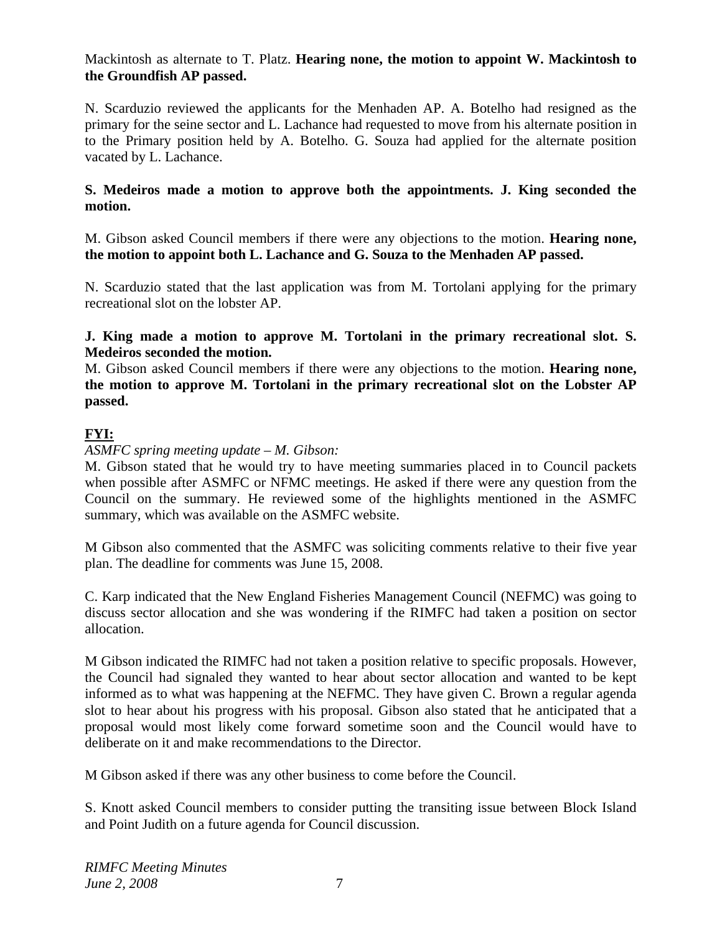# Mackintosh as alternate to T. Platz. **Hearing none, the motion to appoint W. Mackintosh to the Groundfish AP passed.**

N. Scarduzio reviewed the applicants for the Menhaden AP. A. Botelho had resigned as the primary for the seine sector and L. Lachance had requested to move from his alternate position in to the Primary position held by A. Botelho. G. Souza had applied for the alternate position vacated by L. Lachance.

#### **S. Medeiros made a motion to approve both the appointments. J. King seconded the motion.**

M. Gibson asked Council members if there were any objections to the motion. **Hearing none, the motion to appoint both L. Lachance and G. Souza to the Menhaden AP passed.** 

N. Scarduzio stated that the last application was from M. Tortolani applying for the primary recreational slot on the lobster AP.

#### **J. King made a motion to approve M. Tortolani in the primary recreational slot. S. Medeiros seconded the motion.**

M. Gibson asked Council members if there were any objections to the motion. **Hearing none, the motion to approve M. Tortolani in the primary recreational slot on the Lobster AP passed.** 

# **FYI:**

#### *ASMFC spring meeting update – M. Gibson:*

M. Gibson stated that he would try to have meeting summaries placed in to Council packets when possible after ASMFC or NFMC meetings. He asked if there were any question from the Council on the summary. He reviewed some of the highlights mentioned in the ASMFC summary, which was available on the ASMFC website.

M Gibson also commented that the ASMFC was soliciting comments relative to their five year plan. The deadline for comments was June 15, 2008.

C. Karp indicated that the New England Fisheries Management Council (NEFMC) was going to discuss sector allocation and she was wondering if the RIMFC had taken a position on sector allocation.

M Gibson indicated the RIMFC had not taken a position relative to specific proposals. However, the Council had signaled they wanted to hear about sector allocation and wanted to be kept informed as to what was happening at the NEFMC. They have given C. Brown a regular agenda slot to hear about his progress with his proposal. Gibson also stated that he anticipated that a proposal would most likely come forward sometime soon and the Council would have to deliberate on it and make recommendations to the Director.

M Gibson asked if there was any other business to come before the Council.

S. Knott asked Council members to consider putting the transiting issue between Block Island and Point Judith on a future agenda for Council discussion.